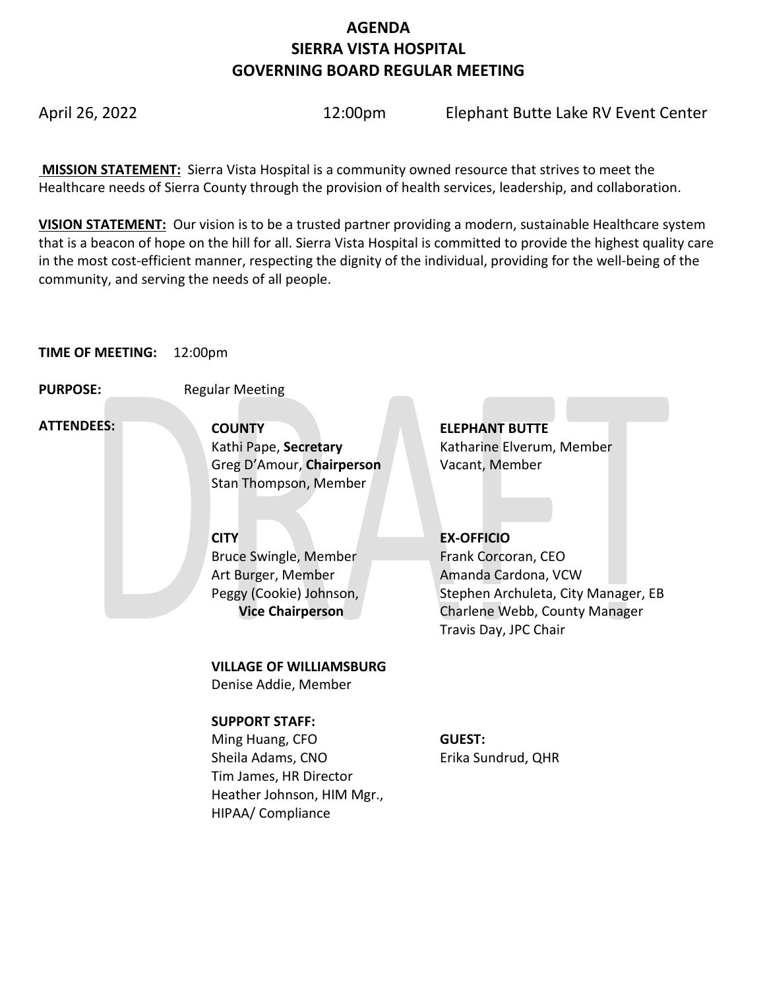# **AGENDA SIERRA VISTA HOSPITAL GOVERNING BOARD REGULAR MEETING**

April 26, 2022 12:00pm Elephant Butte Lake RV Event Center

**MISSION STATEMENT:** Sierra Vista Hospital is a community owned resource that strives to meet the Healthcare needs of Sierra County through the provision of health services, leadership, and collaboration.

**VISION STATEMENT:** Our vision is to be a trusted partner providing a modern, sustainable Healthcare system that is a beacon of hope on the hill for all. Sierra Vista Hospital is committed to provide the highest quality care in the most cost-efficient manner, respecting the dignity of the individual, providing for the well-being of the community, and serving the needs of all people.

#### **TIME OF MEETING:** 12:00pm

**PURPOSE:** Regular Meeting

 **ATTENDEES:**

**COUNTY ELEPHANT BUTTE**  Greg D'Amour, **Chairperson** Vacant, Member Stan Thompson, Member

Bruce Swingle, Member Art Burger, Member Peggy (Cookie) Johnson,  **Vice Chairperson**

**VILLAGE OF WILLIAMSBURG**

Denise Addie, Member

### **SUPPORT STAFF:**

Ming Huang, CFO Sheila Adams, CNO Tim James, HR Director Heather Johnson, HIM Mgr., HIPAA/ Compliance

Kathi Pape, **Secretary Katharine Elverum, Member** 

## **CITY EX-OFFICIO**

Frank Corcoran, CEO Amanda Cardona, VCW Stephen Archuleta, City Manager, EB Charlene Webb, County Manager Travis Day, JPC Chair

#### **GUEST:** Erika Sundrud, QHR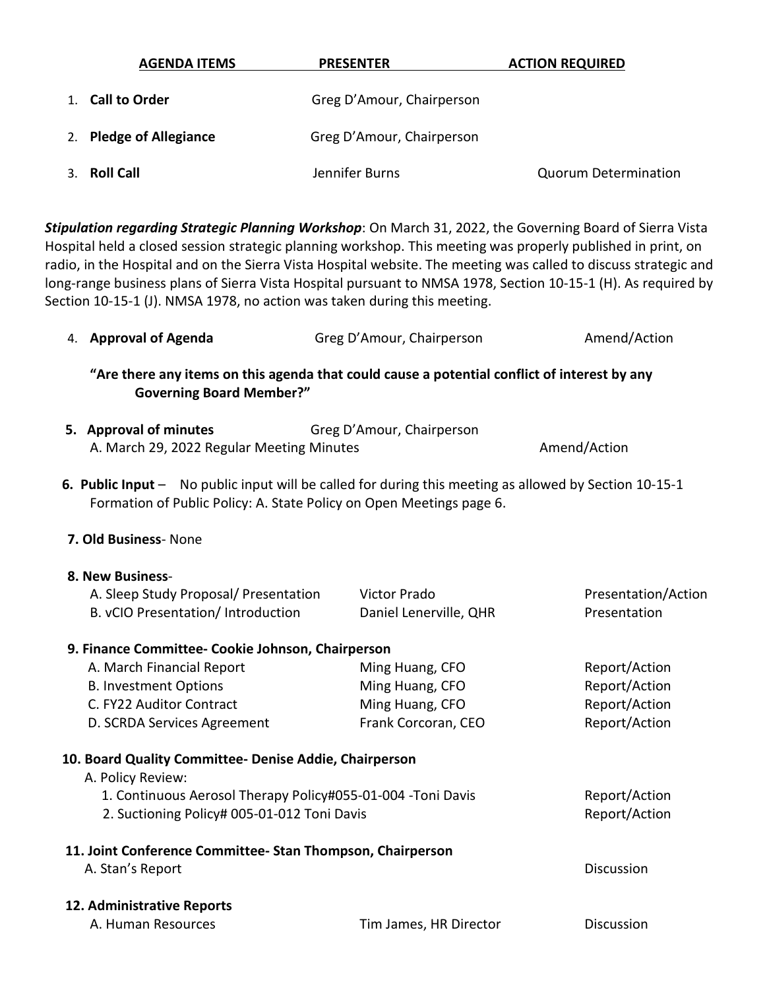| <b>AGENDA ITEMS</b>     | <b>PRESENTER</b>          | <b>ACTION REQUIRED</b>      |
|-------------------------|---------------------------|-----------------------------|
| 1. Call to Order        | Greg D'Amour, Chairperson |                             |
| 2. Pledge of Allegiance | Greg D'Amour, Chairperson |                             |
| 3. Roll Call            | Jennifer Burns            | <b>Quorum Determination</b> |

*Stipulation regarding Strategic Planning Workshop*: On March 31, 2022, the Governing Board of Sierra Vista Hospital held a closed session strategic planning workshop. This meeting was properly published in print, on radio, in the Hospital and on the Sierra Vista Hospital website. The meeting was called to discuss strategic and long-range business plans of Sierra Vista Hospital pursuant to NMSA 1978, Section 10-15-1 (H). As required by Section 10-15-1 (J). NMSA 1978, no action was taken during this meeting.

| 4. Approval of Agenda                                                                                                                                                          | Greg D'Amour, Chairperson | Amend/Action        |
|--------------------------------------------------------------------------------------------------------------------------------------------------------------------------------|---------------------------|---------------------|
| "Are there any items on this agenda that could cause a potential conflict of interest by any<br><b>Governing Board Member?"</b>                                                |                           |                     |
| 5. Approval of minutes<br>A. March 29, 2022 Regular Meeting Minutes                                                                                                            | Greg D'Amour, Chairperson | Amend/Action        |
| 6. Public Input - No public input will be called for during this meeting as allowed by Section 10-15-1<br>Formation of Public Policy: A. State Policy on Open Meetings page 6. |                           |                     |
| 7. Old Business- None                                                                                                                                                          |                           |                     |
| 8. New Business-                                                                                                                                                               |                           |                     |
| A. Sleep Study Proposal/ Presentation                                                                                                                                          | <b>Victor Prado</b>       | Presentation/Action |
| B. vCIO Presentation/ Introduction                                                                                                                                             | Daniel Lenerville, QHR    | Presentation        |
| 9. Finance Committee- Cookie Johnson, Chairperson                                                                                                                              |                           |                     |
| A. March Financial Report                                                                                                                                                      | Ming Huang, CFO           | Report/Action       |
| <b>B. Investment Options</b>                                                                                                                                                   | Ming Huang, CFO           | Report/Action       |
| C. FY22 Auditor Contract                                                                                                                                                       | Ming Huang, CFO           | Report/Action       |
| D. SCRDA Services Agreement                                                                                                                                                    | Frank Corcoran, CEO       | Report/Action       |
| 10. Board Quality Committee- Denise Addie, Chairperson                                                                                                                         |                           |                     |
| A. Policy Review:                                                                                                                                                              |                           |                     |
| 1. Continuous Aerosol Therapy Policy#055-01-004 -Toni Davis                                                                                                                    |                           | Report/Action       |
| 2. Suctioning Policy# 005-01-012 Toni Davis                                                                                                                                    |                           | Report/Action       |
| 11. Joint Conference Committee-Stan Thompson, Chairperson<br>A. Stan's Report                                                                                                  |                           | Discussion          |
| 12. Administrative Reports<br>A. Human Resources                                                                                                                               | Tim James, HR Director    | Discussion          |
|                                                                                                                                                                                |                           |                     |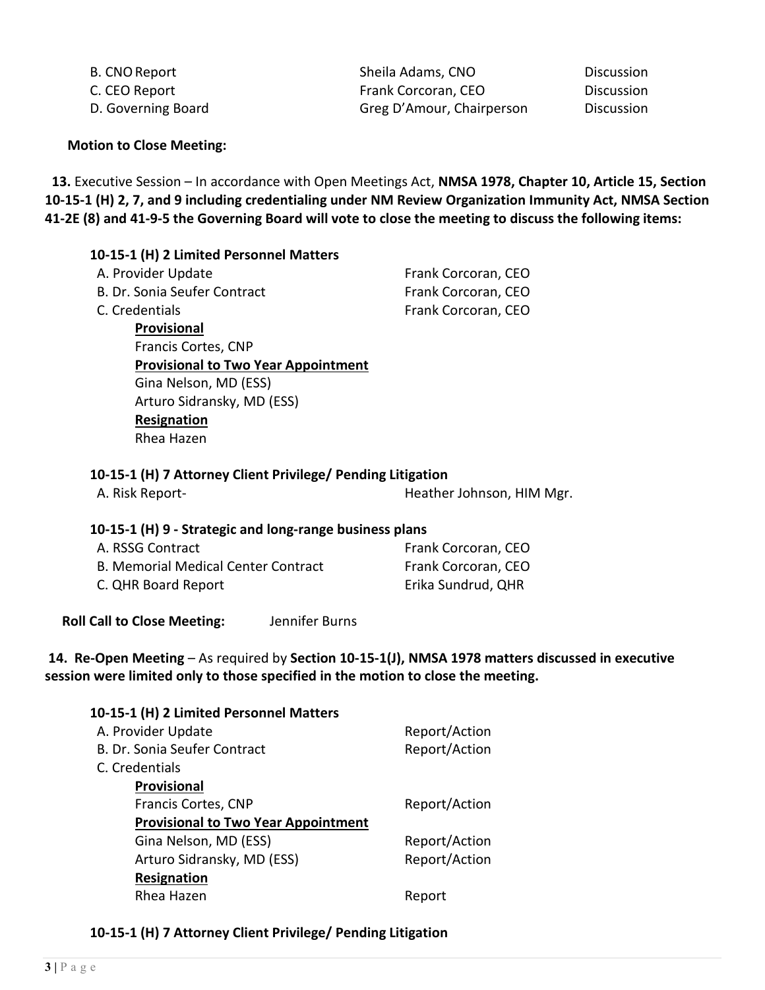| B. CNO Report      | Sheila Adams, CNO         | Discussion |
|--------------------|---------------------------|------------|
| C. CEO Report      | Frank Corcoran, CEO       | Discussion |
| D. Governing Board | Greg D'Amour, Chairperson | Discussion |

**Motion to Close Meeting:** 

 **13.** Executive Session – In accordance with Open Meetings Act, **NMSA 1978, Chapter 10, Article 15, Section 10-15-1 (H) 2, 7, and 9 including credentialing under NM Review Organization Immunity Act, NMSA Section 41-2E (8) and 41-9-5 the Governing Board will vote to close the meeting to discuss the following items:** 

### **10-15-1 (H) 2 Limited Personnel Matters**

| A. Provider Update                         | Frank Corcoran, CEO |
|--------------------------------------------|---------------------|
| B. Dr. Sonia Seufer Contract               | Frank Corcoran, CEO |
| C. Credentials                             | Frank Corcoran, CEO |
| Provisional                                |                     |
| Francis Cortes, CNP                        |                     |
| <b>Provisional to Two Year Appointment</b> |                     |
| Gina Nelson, MD (ESS)                      |                     |
| Arturo Sidransky, MD (ESS)                 |                     |
| Resignation                                |                     |
| Rhea Hazen                                 |                     |

#### **10-15-1 (H) 7 Attorney Client Privilege/ Pending Litigation**

| A. Risk Report- | Heather Johnson, HIM Mgr. |
|-----------------|---------------------------|
|-----------------|---------------------------|

#### **10-15-1 (H) 9 - Strategic and long-range business plans**

| A. RSSG Contract                           | Frank Corcoran, CEO |
|--------------------------------------------|---------------------|
| <b>B. Memorial Medical Center Contract</b> | Frank Corcoran, CEO |
| C. QHR Board Report                        | Erika Sundrud, QHR  |

 **Roll Call to Close Meeting:** Jennifer Burns

#### **14. Re-Open Meeting** – As required by **Section 10-15-1(J), NMSA 1978 matters discussed in executive session were limited only to those specified in the motion to close the meeting.**

| 10-15-1 (H) 2 Limited Personnel Matters    |               |
|--------------------------------------------|---------------|
| A. Provider Update                         | Report/Action |
| B. Dr. Sonia Seufer Contract               | Report/Action |
| C. Credentials                             |               |
| Provisional                                |               |
| Francis Cortes, CNP                        | Report/Action |
| <b>Provisional to Two Year Appointment</b> |               |
| Gina Nelson, MD (ESS)                      | Report/Action |
| Arturo Sidransky, MD (ESS)                 | Report/Action |
| Resignation                                |               |
| Rhea Hazen                                 | Report        |
|                                            |               |

### **10-15-1 (H) 7 Attorney Client Privilege/ Pending Litigation**